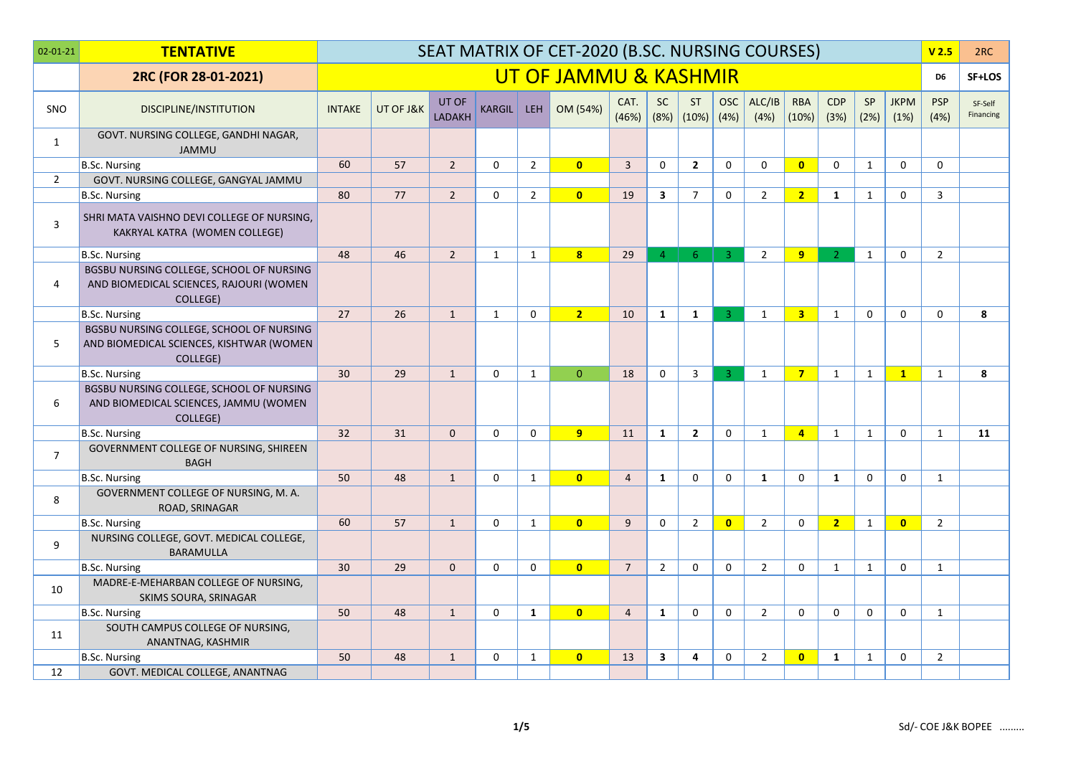| $02 - 01 - 21$ | <b>TENTATIVE</b>                                                                                 |               |           |                        |               |                  | SEAT MATRIX OF CET-2020 (B.SC. NURSING COURSES) |                 |                   |                    |                |                |                         |                    |                   |                     | V <sub>2.5</sub>   | 2RC                  |
|----------------|--------------------------------------------------------------------------------------------------|---------------|-----------|------------------------|---------------|------------------|-------------------------------------------------|-----------------|-------------------|--------------------|----------------|----------------|-------------------------|--------------------|-------------------|---------------------|--------------------|----------------------|
|                | 2RC (FOR 28-01-2021)                                                                             |               |           |                        |               |                  | UT OF JAMMU & KASHMIR                           |                 |                   |                    |                |                |                         |                    |                   |                     | D <sub>6</sub>     | SF+LOS               |
| SNO            | <b>DISCIPLINE/INSTITUTION</b>                                                                    | <b>INTAKE</b> | UT OF J&K | UT OF<br><b>LADAKH</b> | <b>KARGIL</b> | LEH <sup>1</sup> | OM (54%)                                        | CAT.<br>(46%)   | <b>SC</b><br>(8%) | <b>ST</b><br>(10%) | OSC<br>(4%)    | ALC/IB<br>(4%) | <b>RBA</b><br>(10%)     | <b>CDP</b><br>(3%) | <b>SP</b><br>(2%) | <b>JKPM</b><br>(1%) | <b>PSP</b><br>(4%) | SF-Self<br>Financing |
| 1              | GOVT. NURSING COLLEGE, GANDHI NAGAR,<br><b>JAMMU</b>                                             |               |           |                        |               |                  |                                                 |                 |                   |                    |                |                |                         |                    |                   |                     |                    |                      |
|                | B.Sc. Nursing                                                                                    | 60            | 57        | $\overline{2}$         | $\mathbf 0$   | $\overline{2}$   | $\overline{0}$                                  | $\overline{3}$  | $\mathbf 0$       | $\overline{2}$     | $\mathbf 0$    | $\mathbf 0$    | $\overline{0}$          | $\Omega$           | $\mathbf{1}$      | $\mathbf{0}$        | $\mathbf{0}$       |                      |
| $\overline{2}$ | GOVT. NURSING COLLEGE, GANGYAL JAMMU                                                             |               |           |                        |               |                  |                                                 |                 |                   |                    |                |                |                         |                    |                   |                     |                    |                      |
|                | B.Sc. Nursing                                                                                    | 80            | 77        | $\overline{2}$         | $\mathbf 0$   | $\overline{2}$   | $\mathbf{0}$                                    | 19              | $\mathbf{3}$      | $\overline{7}$     | $\mathbf 0$    | $\overline{2}$ | $\overline{2}$          | $\mathbf{1}$       | $\mathbf{1}$      | $\mathbf 0$         | 3                  |                      |
| 3              | SHRI MATA VAISHNO DEVI COLLEGE OF NURSING,<br>KAKRYAL KATRA (WOMEN COLLEGE)                      |               |           |                        |               |                  |                                                 |                 |                   |                    |                |                |                         |                    |                   |                     |                    |                      |
|                | <b>B.Sc. Nursing</b>                                                                             | 48            | 46        | $\overline{2}$         | $\mathbf{1}$  | $\mathbf{1}$     | 8 <sup>1</sup>                                  | 29              | 4 <sup>1</sup>    | 6                  | $-3$           | $\overline{2}$ | 9                       | $\mathcal{L}$      | $\mathbf{1}$      | $\mathbf{0}$        | $\overline{2}$     |                      |
| 4              | BGSBU NURSING COLLEGE, SCHOOL OF NURSING<br>AND BIOMEDICAL SCIENCES, RAJOURI (WOMEN<br>COLLEGE)  |               |           |                        |               |                  |                                                 |                 |                   |                    |                |                |                         |                    |                   |                     |                    |                      |
|                | <b>B.Sc. Nursing</b>                                                                             | 27            | 26        | $\mathbf{1}$           | $\mathbf{1}$  | $\mathbf 0$      | 2 <sup>1</sup>                                  | 10              | $\mathbf{1}$      | $\mathbf{1}$       | $\overline{3}$ | $\mathbf{1}$   | $\overline{\mathbf{3}}$ | $\mathbf{1}$       | $\mathbf 0$       | $\mathbf{0}$        | $\Omega$           | 8                    |
| 5              | BGSBU NURSING COLLEGE, SCHOOL OF NURSING<br>AND BIOMEDICAL SCIENCES, KISHTWAR (WOMEN<br>COLLEGE) |               |           |                        |               |                  |                                                 |                 |                   |                    |                |                |                         |                    |                   |                     |                    |                      |
|                | <b>B.Sc. Nursing</b>                                                                             | 30            | 29        | $\mathbf{1}$           | $\Omega$      | $\mathbf{1}$     | $\Omega$                                        | 18              | $\mathbf 0$       | $\overline{3}$     | $\overline{3}$ | $\mathbf{1}$   | $\overline{7}$          | $\mathbf{1}$       | $\mathbf{1}$      | $\mathbf{1}$        | $\mathbf{1}$       | 8                    |
| 6              | BGSBU NURSING COLLEGE, SCHOOL OF NURSING<br>AND BIOMEDICAL SCIENCES, JAMMU (WOMEN<br>COLLEGE)    |               |           |                        |               |                  |                                                 |                 |                   |                    |                |                |                         |                    |                   |                     |                    |                      |
|                | B.Sc. Nursing                                                                                    | 32            | 31        | $\mathbf{0}$           | $\mathbf 0$   | $\mathbf 0$      | $9-1$                                           | 11              | $\mathbf{1}$      | $\overline{2}$     | $\mathbf 0$    | $\mathbf{1}$   | $\overline{4}$          | $\mathbf{1}$       | $\mathbf{1}$      | $\mathbf 0$         | $\mathbf{1}$       | 11                   |
| $\overline{7}$ | GOVERNMENT COLLEGE OF NURSING, SHIREEN<br><b>BAGH</b>                                            |               |           |                        |               |                  |                                                 |                 |                   |                    |                |                |                         |                    |                   |                     |                    |                      |
|                | <b>B.Sc. Nursing</b>                                                                             | 50            | 48        | $\mathbf{1}$           | $\Omega$      | $\mathbf{1}$     | $\overline{0}$                                  | $\overline{4}$  | $\mathbf{1}$      | $\Omega$           | $\Omega$       | $\mathbf{1}$   | $\Omega$                | 1                  | $\mathbf 0$       | $\Omega$            | 1                  |                      |
| 8              | GOVERNMENT COLLEGE OF NURSING, M. A.<br>ROAD, SRINAGAR                                           |               |           |                        |               |                  |                                                 |                 |                   |                    |                |                |                         |                    |                   |                     |                    |                      |
|                | B.Sc. Nursing                                                                                    | 60            | 57        | $\mathbf{1}$           | $\mathbf 0$   | $\mathbf{1}$     | $\overline{0}$                                  | 9               | $\mathbf 0$       | $\overline{2}$     | $\overline{0}$ | $2^{\circ}$    | $\mathbf 0$             | 2 <sup>1</sup>     | $\mathbf{1}$      | $\overline{0}$      | $\overline{2}$     |                      |
| 9              | NURSING COLLEGE, GOVT. MEDICAL COLLEGE,<br><b>BARAMULLA</b>                                      |               |           |                        |               |                  |                                                 |                 |                   |                    |                |                |                         |                    |                   |                     |                    |                      |
|                | B.Sc. Nursing                                                                                    | 30            | 29        | $\Omega$               | $\mathbf{0}$  | $\Omega$         | $\mathbf{0}$                                    | $7\overline{ }$ | $\overline{2}$    | $\Omega$           | $\mathbf{0}$   | $\overline{2}$ | $\Omega$                | $\mathbf{1}$       | $\mathbf{1}$      | $\Omega$            | 1                  |                      |
| 10             | MADRE-E-MEHARBAN COLLEGE OF NURSING,<br>SKIMS SOURA, SRINAGAR                                    |               |           |                        |               |                  |                                                 |                 |                   |                    |                |                |                         |                    |                   |                     |                    |                      |
|                | <b>B.Sc. Nursing</b>                                                                             | 50            | 48        | $\mathbf{1}$           | $\Omega$      | $\mathbf{1}$     | $\overline{0}$                                  | $\overline{4}$  | $\mathbf{1}$      | $\Omega$           | $\mathbf 0$    | $\overline{2}$ | $\mathbf 0$             | $\Omega$           | $\mathbf 0$       | $\mathbf{0}$        | $\mathbf{1}$       |                      |
| 11             | SOUTH CAMPUS COLLEGE OF NURSING,<br>ANANTNAG, KASHMIR                                            |               |           |                        |               |                  |                                                 |                 |                   |                    |                |                |                         |                    |                   |                     |                    |                      |
|                | <b>B.Sc. Nursing</b>                                                                             | 50            | 48        | $\mathbf{1}$           | $\mathbf 0$   | $\mathbf{1}$     | $\mathbf{0}$                                    | 13              | $\mathbf{3}$      | 4                  | 0              | $\overline{2}$ | $\overline{0}$          | $\mathbf{1}$       | $\mathbf{1}$      | $\mathbf 0$         | $\overline{2}$     |                      |
| 12             | GOVT. MEDICAL COLLEGE, ANANTNAG                                                                  |               |           |                        |               |                  |                                                 |                 |                   |                    |                |                |                         |                    |                   |                     |                    |                      |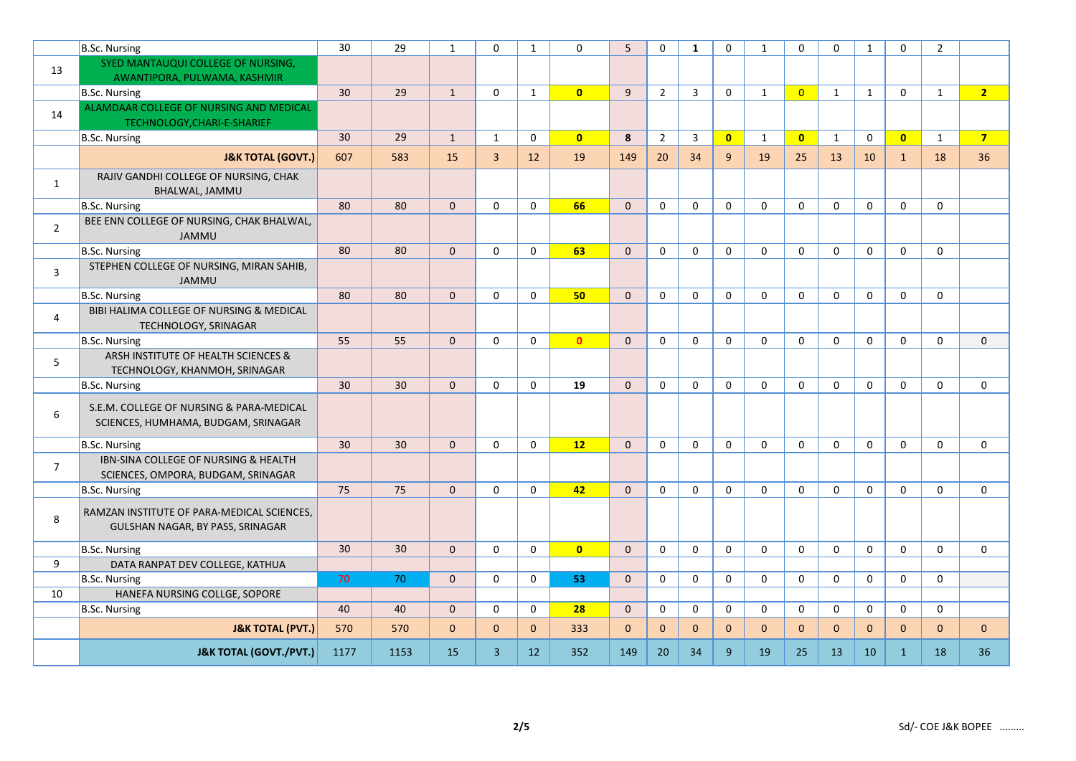|                | B.Sc. Nursing                                                                   | 30   | 29   | $\mathbf{1}$ | $\Omega$       | $\mathbf{1}$ | $\Omega$       | $\overline{5}$ | $\mathbf 0$         | $\mathbf{1}$ | $\mathbf 0$  | $\mathbf{1}$ | $\Omega$       | $\Omega$     | $\mathbf{1}$        | $\mathbf{0}$ | $\overline{2}$ |                |
|----------------|---------------------------------------------------------------------------------|------|------|--------------|----------------|--------------|----------------|----------------|---------------------|--------------|--------------|--------------|----------------|--------------|---------------------|--------------|----------------|----------------|
| 13             | SYED MANTAUQUI COLLEGE OF NURSING,                                              |      |      |              |                |              |                |                |                     |              |              |              |                |              |                     |              |                |                |
|                | AWANTIPORA, PULWAMA, KASHMIR                                                    |      |      |              |                |              |                |                |                     |              |              |              |                |              |                     |              |                |                |
|                | B.Sc. Nursing                                                                   | 30   | 29   | $\mathbf{1}$ | $\mathbf 0$    | $\mathbf{1}$ | $\overline{0}$ | 9              | $\overline{2}$      | 3            | $\mathbf 0$  | $\mathbf{1}$ | $\overline{0}$ | $\mathbf{1}$ | $\mathbf{1}$        | $\mathbf 0$  | $\mathbf{1}$   | 2 <sup>7</sup> |
| 14             | ALAMDAAR COLLEGE OF NURSING AND MEDICAL<br>TECHNOLOGY, CHARI-E-SHARIEF          |      |      |              |                |              |                |                |                     |              |              |              |                |              |                     |              |                |                |
|                | B.Sc. Nursing                                                                   | 30   | 29   | $\mathbf{1}$ | $\mathbf{1}$   | $\mathbf 0$  | $\mathbf{0}$   | 8              | $\overline{2}$      | 3            | $\mathbf{0}$ | $\mathbf{1}$ | $\mathbf{0}$   | $\mathbf{1}$ | $\mathbf 0$         | $\mathbf{0}$ | $\mathbf{1}$   | 7 <sup>7</sup> |
|                | <b>J&amp;K TOTAL (GOVT.)</b>                                                    | 607  | 583  | 15           | $\overline{3}$ | 12           | 19             | 149            | 20                  | 34           | 9            | 19           | 25             | 13           | 10                  | $\mathbf{1}$ | 18             | 36             |
| $\mathbf{1}$   | RAJIV GANDHI COLLEGE OF NURSING, CHAK<br>BHALWAL, JAMMU                         |      |      |              |                |              |                |                |                     |              |              |              |                |              |                     |              |                |                |
|                | <b>B.Sc. Nursing</b>                                                            | 80   | 80   | $\mathbf{0}$ | $\mathbf 0$    | $\mathbf 0$  | 66             | $\mathbf{0}$   | $\mathbf 0$         | $\mathbf 0$  | $\mathbf 0$  | $\mathbf 0$  | $\mathbf 0$    | $\mathbf 0$  | $\mathbf 0$         | $\mathbf 0$  | $\mathbf 0$    |                |
| $\overline{2}$ | BEE ENN COLLEGE OF NURSING, CHAK BHALWAL,<br><b>JAMMU</b>                       |      |      |              |                |              |                |                |                     |              |              |              |                |              |                     |              |                |                |
|                | B.Sc. Nursing                                                                   | 80   | 80   | $\mathbf 0$  | $\mathbf 0$    | $\mathbf 0$  | 63             | $\mathbf{0}$   | 0                   | $\mathbf 0$  | $\mathbf 0$  | $\mathbf{0}$ | $\Omega$       | $\mathbf 0$  | $\mathbf 0$         | $\mathbf 0$  | $\mathbf 0$    |                |
| 3              | STEPHEN COLLEGE OF NURSING, MIRAN SAHIB,<br><b>JAMMU</b>                        |      |      |              |                |              |                |                |                     |              |              |              |                |              |                     |              |                |                |
|                | B.Sc. Nursing                                                                   | 80   | 80   | $\mathbf 0$  | $\mathbf 0$    | $\mathbf 0$  | 50             | $\mathbf{0}$   | $\mathsf{O}\xspace$ | $\mathbf 0$  | $\mathbf 0$  | $\mathbf 0$  | $\mathbf 0$    | $\mathbf 0$  | $\mathsf{O}\xspace$ | $\mathbf 0$  | $\mathbf 0$    |                |
| 4              | BIBI HALIMA COLLEGE OF NURSING & MEDICAL<br><b>TECHNOLOGY, SRINAGAR</b>         |      |      |              |                |              |                |                |                     |              |              |              |                |              |                     |              |                |                |
|                | B.Sc. Nursing                                                                   | 55   | 55   | $\mathbf{0}$ | $\mathbf 0$    | $\mathbf 0$  | $\mathbf{0}$   | $\mathbf{0}$   | $\mathbf 0$         | $\mathbf 0$  | $\mathbf 0$  | $\mathbf 0$  | $\mathbf 0$    | $\mathbf 0$  | $\mathbf 0$         | $\mathbf 0$  | $\mathbf 0$    | $\mathbf 0$    |
| 5              | ARSH INSTITUTE OF HEALTH SCIENCES &<br>TECHNOLOGY, KHANMOH, SRINAGAR            |      |      |              |                |              |                |                |                     |              |              |              |                |              |                     |              |                |                |
|                | B.Sc. Nursing                                                                   | 30   | 30   | $\mathbf 0$  | $\mathbf 0$    | $\mathbf 0$  | 19             | $\mathbf{0}$   | $\mathbf 0$         | $\Omega$     | $\mathbf 0$  | $\Omega$     | $\Omega$       | $\mathbf 0$  | $\mathbf 0$         | $\mathbf 0$  | $\mathbf 0$    | $\mathbf 0$    |
| 6              | S.E.M. COLLEGE OF NURSING & PARA-MEDICAL<br>SCIENCES, HUMHAMA, BUDGAM, SRINAGAR |      |      |              |                |              |                |                |                     |              |              |              |                |              |                     |              |                |                |
|                | <b>B.Sc. Nursing</b>                                                            | 30   | 30   | $\mathbf 0$  | $\Omega$       | $\Omega$     | 12             | $\Omega$       | $\mathbf 0$         | $\Omega$     | $\mathbf{0}$ | $\mathbf{0}$ | $\Omega$       | $\Omega$     | $\mathbf 0$         | $\mathbf{0}$ | $\Omega$       | $\Omega$       |
| $\overline{7}$ | IBN-SINA COLLEGE OF NURSING & HEALTH<br>SCIENCES, OMPORA, BUDGAM, SRINAGAR      |      |      |              |                |              |                |                |                     |              |              |              |                |              |                     |              |                |                |
|                | B.Sc. Nursing                                                                   | 75   | 75   | $\mathbf{0}$ | $\Omega$       | $\mathbf 0$  | 42             | $\mathbf{0}$   | $\mathbf 0$         | 0            | $\mathbf 0$  | $\Omega$     | $\mathbf 0$    | $\Omega$     | $\mathbf 0$         | $\mathbf 0$  | $\mathbf{0}$   | $\mathbf 0$    |
| 8              | RAMZAN INSTITUTE OF PARA-MEDICAL SCIENCES,<br>GULSHAN NAGAR, BY PASS, SRINAGAR  |      |      |              |                |              |                |                |                     |              |              |              |                |              |                     |              |                |                |
|                | <b>B.Sc. Nursing</b>                                                            | 30   | 30   | $\mathbf 0$  | $\mathbf 0$    | $\mathbf 0$  | $\overline{0}$ | $\mathbf{0}$   | $\mathbf 0$         | $\mathbf 0$  | $\mathbf 0$  | $\mathbf 0$  | $\mathbf 0$    | $\mathbf 0$  | $\mathbf 0$         | $\mathbf 0$  | $\mathbf 0$    | $\mathbf 0$    |
| 9              | DATA RANPAT DEV COLLEGE, KATHUA                                                 |      |      |              |                |              |                |                |                     |              |              |              |                |              |                     |              |                |                |
|                | B.Sc. Nursing                                                                   | 70   | 70   | $\mathbf{0}$ | $\mathbf 0$    | 0            | 53             | $\mathbf{0}$   | $\mathbf 0$         | $\mathbf 0$  | $\mathbf 0$  | $\mathbf 0$  | $\mathbf 0$    | $\Omega$     | $\mathbf 0$         | $\mathbf 0$  | $\mathbf 0$    |                |
| 10             | HANEFA NURSING COLLGE, SOPORE                                                   |      |      |              |                |              |                |                |                     |              |              |              |                |              |                     |              |                |                |
|                | B.Sc. Nursing                                                                   | 40   | 40   | $\mathbf{0}$ | $\Omega$       | $\Omega$     | 28             | $\Omega$       | $\mathbf 0$         | $\mathbf 0$  | $\mathbf 0$  | $\Omega$     | $\Omega$       | $\Omega$     | $\mathbf 0$         | $\mathbf{0}$ | $\Omega$       |                |
|                | <b>J&amp;K TOTAL (PVT.)</b>                                                     | 570  | 570  | $\mathbf 0$  | $\Omega$       | $\mathbf{0}$ | 333            | $\Omega$       | $\mathbf{0}$        | $\Omega$     | $\mathbf{0}$ | $\mathbf{0}$ | $\Omega$       | $\Omega$     | $\mathbf{0}$        | $\mathbf{0}$ | $\mathbf{0}$   | $\mathbf{0}$   |
|                | <b>J&amp;K TOTAL (GOVT./PVT.)</b>                                               | 1177 | 1153 | 15           | $\overline{3}$ | 12           | 352            | 149            | 20                  | 34           | 9            | 19           | 25             | 13           | 10                  | $\mathbf{1}$ | 18             | 36             |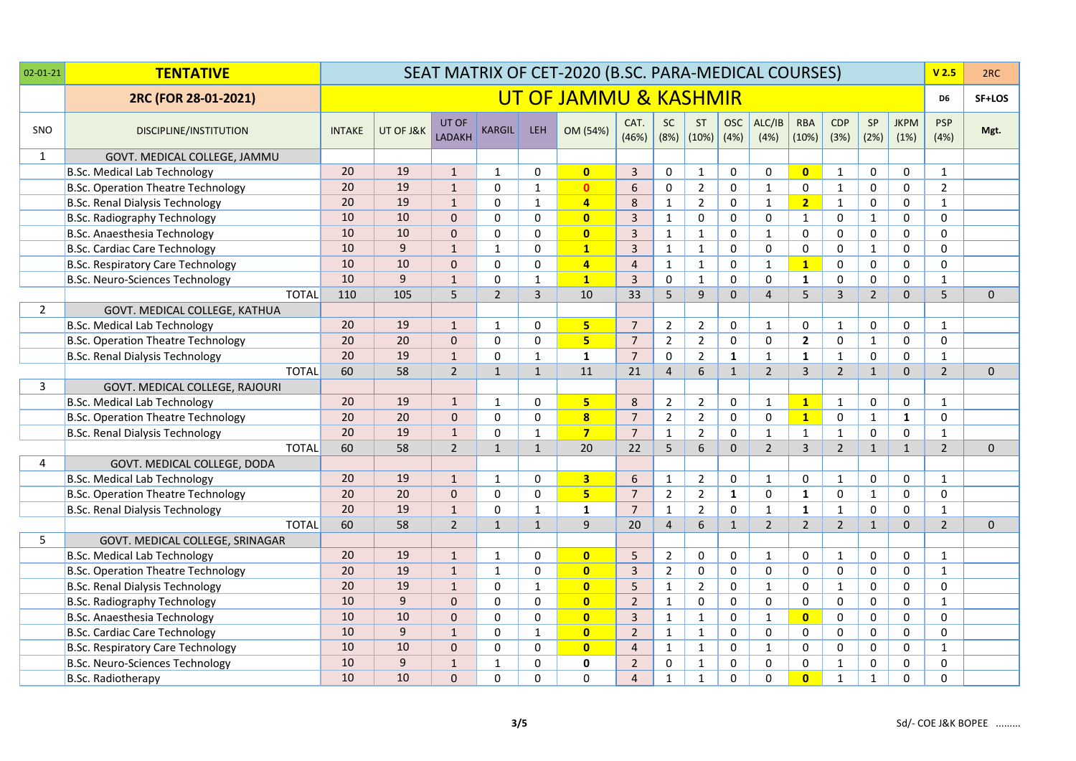| $02 - 01 - 21$ | <b>TENTATIVE</b>                          |               |           |                        |                |              | SEAT MATRIX OF CET-2020 (B.SC. PARA-MEDICAL COURSES) |                |                |                               |                    |                |                     |                    |                |                     | V <sub>2.5</sub>    | 2RC          |
|----------------|-------------------------------------------|---------------|-----------|------------------------|----------------|--------------|------------------------------------------------------|----------------|----------------|-------------------------------|--------------------|----------------|---------------------|--------------------|----------------|---------------------|---------------------|--------------|
|                | 2RC (FOR 28-01-2021)                      |               |           |                        |                |              | UT OF JAMMU & KASHMIR                                |                |                |                               |                    |                |                     |                    |                |                     | D6                  | SF+LOS       |
| SNO            | <b>DISCIPLINE/INSTITUTION</b>             | <b>INTAKE</b> | UT OF J&K | UT OF<br><b>LADAKH</b> | <b>KARGIL</b>  | <b>LEH</b>   | OM (54%)                                             | CAT.<br>(46%)  | <b>SC</b>      | <b>ST</b><br>$(8\%)$ $(10\%)$ | <b>OSC</b><br>(4%) | ALC/IB<br>(4%) | <b>RBA</b><br>(10%) | <b>CDP</b><br>(3%) | SP<br>(2%)     | <b>JKPM</b><br>(1%) | <b>PSP</b><br>(4% ) | Mgt.         |
| 1              | GOVT. MEDICAL COLLEGE, JAMMU              |               |           |                        |                |              |                                                      |                |                |                               |                    |                |                     |                    |                |                     |                     |              |
|                | B.Sc. Medical Lab Technology              | 20            | 19        | $\mathbf{1}$           | 1              | 0            | $\bullet$                                            | 3              | 0              | 1                             | 0                  | 0              | $\bf{0}$            | $\mathbf{1}$       | 0              | 0                   | $\mathbf{1}$        |              |
|                | <b>B.Sc. Operation Theatre Technology</b> | 20            | 19        | $\mathbf{1}$           | $\Omega$       | $\mathbf{1}$ | $\mathbf{0}$                                         | 6              | 0              | $\overline{2}$                | $\mathbf 0$        | $\mathbf{1}$   | 0                   | $\mathbf{1}$       | $\mathbf 0$    | 0                   | $\overline{2}$      |              |
|                | <b>B.Sc. Renal Dialysis Technology</b>    | 20            | 19        | $\mathbf{1}$           | 0              | $\mathbf 1$  | $\overline{4}$                                       | 8              | $\mathbf{1}$   | $\overline{2}$                | $\mathbf 0$        | $\mathbf{1}$   | $\overline{2}$      | $\mathbf{1}$       | 0              | 0                   | $\mathbf{1}$        |              |
|                | <b>B.Sc. Radiography Technology</b>       | 10            | 10        | $\Omega$               | 0              | $\mathbf 0$  | $\overline{0}$                                       | $\overline{3}$ | 1              | $\Omega$                      | $\mathbf{0}$       | 0              | $\mathbf{1}$        | $\Omega$           | $\mathbf{1}$   | $\Omega$            | $\Omega$            |              |
|                | B.Sc. Anaesthesia Technology              | 10            | 10        | $\mathbf 0$            | $\Omega$       | $\mathbf 0$  | $\bullet$                                            | 3              | $\mathbf{1}$   | $\mathbf{1}$                  | $\mathbf 0$        | $\mathbf{1}$   | 0                   | 0                  | $\pmb{0}$      | 0                   | $\Omega$            |              |
|                | <b>B.Sc. Cardiac Care Technology</b>      | 10            | 9         | $\mathbf{1}$           | $\mathbf{1}$   | $\mathbf 0$  | $\mathbf{1}$                                         | $\overline{3}$ | $\mathbf{1}$   | $\mathbf{1}$                  | $\mathbf 0$        | 0              | $\mathbf 0$         | 0                  | $\mathbf{1}$   | $\mathbf 0$         | $\Omega$            |              |
|                | <b>B.Sc. Respiratory Care Technology</b>  | 10            | 10        | $\mathbf{0}$           | 0              | $\mathbf 0$  | $\overline{4}$                                       | $\overline{a}$ | $\mathbf{1}$   | $\mathbf{1}$                  | $\mathbf 0$        | 1              | $\mathbf{1}$        | $\mathbf 0$        | 0              | $\mathbf 0$         | 0                   |              |
|                | <b>B.Sc. Neuro-Sciences Technology</b>    | 10            | 9         | $\mathbf{1}$           | $\Omega$       | $\mathbf{1}$ | $\mathbf{1}$                                         | $\overline{3}$ | 0              | $\mathbf{1}$                  | $\mathbf{0}$       | $\Omega$       | $\mathbf{1}$        | $\Omega$           | $\mathbf 0$    | $\Omega$            | $\mathbf{1}$        |              |
|                | <b>TOTAL</b>                              | 110           | 105       | 5                      | $\overline{2}$ | 3            | 10                                                   | 33             | 5              | 9                             | $\mathbf 0$        | $\overline{4}$ | 5                   | $\overline{3}$     | $\overline{2}$ | $\mathbf 0$         | 5 <sup>5</sup>      | $\mathbf{0}$ |
| $\overline{2}$ | GOVT. MEDICAL COLLEGE, KATHUA             |               |           |                        |                |              |                                                      |                |                |                               |                    |                |                     |                    |                |                     |                     |              |
|                | <b>B.Sc. Medical Lab Technology</b>       | 20            | 19        | $\mathbf{1}$           | $\mathbf{1}$   | $\Omega$     | 5 <sub>z</sub>                                       | $\overline{7}$ | $\overline{2}$ | $\overline{2}$                | $\mathbf{0}$       | $\mathbf{1}$   | 0                   | $\mathbf{1}$       | 0              | 0                   | $\mathbf{1}$        |              |
|                | <b>B.Sc. Operation Theatre Technology</b> | 20            | 20        | $\Omega$               | 0              | 0            | 5 <sub>1</sub>                                       | $\overline{7}$ | $\overline{2}$ | $\overline{2}$                | $\mathbf{0}$       | $\Omega$       | $\mathbf{2}$        | $\mathbf 0$        | $\mathbf{1}$   | 0                   | 0                   |              |
|                | <b>B.Sc. Renal Dialysis Technology</b>    | 20            | 19        | $\mathbf{1}$           | 0              | $\mathbf{1}$ | $\mathbf{1}$                                         | $\overline{7}$ | $\mathbf 0$    | $\overline{2}$                | $\mathbf{1}$       | $\mathbf{1}$   | $\mathbf{1}$        | $\mathbf{1}$       | $\mathbf 0$    | $\mathbf 0$         | $\mathbf{1}$        |              |
|                | <b>TOTAL</b>                              | 60            | 58        | $\overline{2}$         | $\mathbf{1}$   | $\mathbf 1$  | 11                                                   | 21             | $\overline{4}$ | 6                             | $\mathbf{1}$       | $\overline{2}$ | 3                   | $\overline{2}$     | $\mathbf{1}$   | $\mathbf 0$         | $\overline{2}$      | $\mathbf{0}$ |
| $\overline{3}$ | GOVT. MEDICAL COLLEGE, RAJOURI            |               |           |                        |                |              |                                                      |                |                |                               |                    |                |                     |                    |                |                     |                     |              |
|                | <b>B.Sc. Medical Lab Technology</b>       | 20            | 19        | $\mathbf{1}$           | $\mathbf{1}$   | 0            | 5                                                    | 8              | $\overline{2}$ | $\overline{2}$                | 0                  | $\mathbf{1}$   | $\mathbf{1}$        | $\mathbf{1}$       | 0              | 0                   | $\mathbf{1}$        |              |
|                | <b>B.Sc. Operation Theatre Technology</b> | 20            | 20        | $\mathbf 0$            | $\Omega$       | $\mathbf 0$  | $\overline{\mathbf{8}}$                              | $\overline{7}$ | $\overline{2}$ | $2^{\circ}$                   | $\mathbf 0$        | 0              | $\mathbf{1}$        | $\pmb{0}$          | $\mathbf{1}$   | $\mathbf{1}$        | $\mathbf 0$         |              |
|                | <b>B.Sc. Renal Dialysis Technology</b>    | 20            | 19        | $\mathbf{1}$           | $\mathbf{0}$   | $\mathbf 1$  | $\overline{7}$                                       | $\overline{7}$ | $\mathbf{1}$   | $\overline{2}$                | $\mathbf 0$        | $\mathbf{1}$   | $\mathbf{1}$        | $\mathbf{1}$       | $\mathbf 0$    | 0                   | $\mathbf{1}$        |              |
|                | <b>TOTAL</b>                              | 60            | 58        | $\overline{2}$         | $\mathbf{1}$   | $\mathbf{1}$ | 20                                                   | 22             | 5              | 6                             | $\Omega$           | $\overline{2}$ | $\overline{3}$      | $\overline{2}$     | $\mathbf{1}$   | $\mathbf{1}$        | $\overline{2}$      | $\mathbf{0}$ |
| 4              | GOVT. MEDICAL COLLEGE, DODA               |               |           |                        |                |              |                                                      |                |                |                               |                    |                |                     |                    |                |                     |                     |              |
|                | <b>B.Sc. Medical Lab Technology</b>       | 20            | 19        | $\mathbf{1}$           | $\mathbf{1}$   | 0            | 3 <sup>1</sup>                                       | 6              | $\mathbf{1}$   | $\overline{2}$                | 0                  | $\mathbf{1}$   | 0                   | $\mathbf{1}$       | 0              | 0                   | $\mathbf{1}$        |              |
|                | <b>B.Sc. Operation Theatre Technology</b> | 20            | 20        | $\mathbf{0}$           | 0              | $\mathbf 0$  | 5 <sub>5</sub>                                       | $\overline{7}$ | $\overline{2}$ | $\overline{2}$                | $\mathbf{1}$       | 0              | $\mathbf 1$         | 0                  | $1\,$          | $\mathbf 0$         | $\mathbf 0$         |              |
|                | <b>B.Sc. Renal Dialysis Technology</b>    | 20            | 19        | $\mathbf{1}$           | 0              | $\mathbf{1}$ | $\mathbf{1}$                                         | $\overline{7}$ | $\mathbf{1}$   | $\overline{2}$                | $\mathbf{0}$       | $\mathbf{1}$   | $\mathbf{1}$        | $\mathbf{1}$       | $\mathbf 0$    | $\mathbf 0$         | $\mathbf{1}$        |              |
|                | <b>TOTAL</b>                              | 60            | 58        | $\overline{2}$         | $\mathbf{1}$   | $\mathbf{1}$ | 9                                                    | 20             | 4              | 6                             | $\mathbf{1}$       | $\overline{2}$ | $\overline{2}$      | $\overline{2}$     | $\mathbf{1}$   | $\mathbf{0}$        | $\overline{2}$      | $\mathbf{0}$ |
| 5              | GOVT. MEDICAL COLLEGE, SRINAGAR           |               |           |                        |                |              |                                                      |                |                |                               |                    |                |                     |                    |                |                     |                     |              |
|                | <b>B.Sc. Medical Lab Technology</b>       | 20            | 19        | $\mathbf{1}$           | 1              | 0            | $\bullet$                                            | 5              | $\overline{2}$ | 0                             | 0                  | $\mathbf{1}$   | 0                   | $\mathbf{1}$       | 0              | 0                   | $\mathbf{1}$        |              |
|                | <b>B.Sc. Operation Theatre Technology</b> | 20            | 19        | $\mathbf{1}$           | $\mathbf{1}$   | $\mathbf 0$  | $\overline{0}$                                       | $\overline{3}$ | $\overline{2}$ | 0                             | $\mathbf 0$        | 0              | $\mathbf 0$         | $\mathsf 0$        | $\mathbf 0$    | 0                   | $\mathbf{1}$        |              |
|                | <b>B.Sc. Renal Dialysis Technology</b>    | 20            | 19        | $\mathbf{1}$           | $\Omega$       | $\mathbf{1}$ | $\bullet$                                            | 5              | $\mathbf{1}$   | $\overline{2}$                | $\mathbf 0$        | $\mathbf{1}$   | $\mathbf 0$         | $\mathbf{1}$       | $\pmb{0}$      | 0                   | $\mathbf 0$         |              |
|                | <b>B.Sc. Radiography Technology</b>       | 10            | 9         | $\mathbf 0$            | 0              | $\mathbf 0$  | $\bullet$                                            | $\overline{2}$ | $\mathbf{1}$   | 0                             | $\mathbf 0$        | 0              | $\mathbf 0$         | 0                  | 0              | 0                   | $\mathbf{1}$        |              |
|                | B.Sc. Anaesthesia Technology              | 10            | 10        | $\Omega$               | $\Omega$       | $\Omega$     | $\bullet$                                            | 3              | $\mathbf{1}$   | $\mathbf{1}$                  | $\mathbf{0}$       | 1              | $\bullet$           | 0                  | 0              | $\Omega$            | $\Omega$            |              |
|                | <b>B.Sc. Cardiac Care Technology</b>      | 10            | 9         | $\mathbf{1}$           | $\Omega$       | $\mathbf{1}$ | $\bullet$                                            | $\overline{2}$ | $\mathbf{1}$   | $\mathbf{1}$                  | $\mathbf 0$        | 0              | 0                   | 0                  | $\mathbf 0$    | 0                   | $\Omega$            |              |
|                | <b>B.Sc. Respiratory Care Technology</b>  | 10            | 10        | $\mathbf{0}$           | 0              | 0            | $\overline{0}$                                       | $\overline{4}$ | $\mathbf{1}$   | $\mathbf{1}$                  | $\mathbf 0$        | $\mathbf{1}$   | $\mathbf 0$         | 0                  | $\mathbf 0$    | 0                   | $\mathbf{1}$        |              |
|                | <b>B.Sc. Neuro-Sciences Technology</b>    | 10            | 9         | $\mathbf 1$            | $\mathbf{1}$   | $\mathbf 0$  | $\mathbf 0$                                          | $\overline{2}$ | $\pmb{0}$      | $\mathbf{1}$                  | $\pmb{0}$          | 0              | $\mathbf 0$         | $\mathbf 1$        | $\pmb{0}$      | 0                   | 0                   |              |
|                | <b>B.Sc. Radiotherapy</b>                 | 10            | 10        | $\Omega$               | 0              | $\Omega$     | $\Omega$                                             | 4              | $\mathbf{1}$   | $\mathbf{1}$                  | $\Omega$           | $\Omega$       | $\mathbf{0}$        | $\mathbf{1}$       | $\mathbf{1}$   | $\Omega$            | $\Omega$            |              |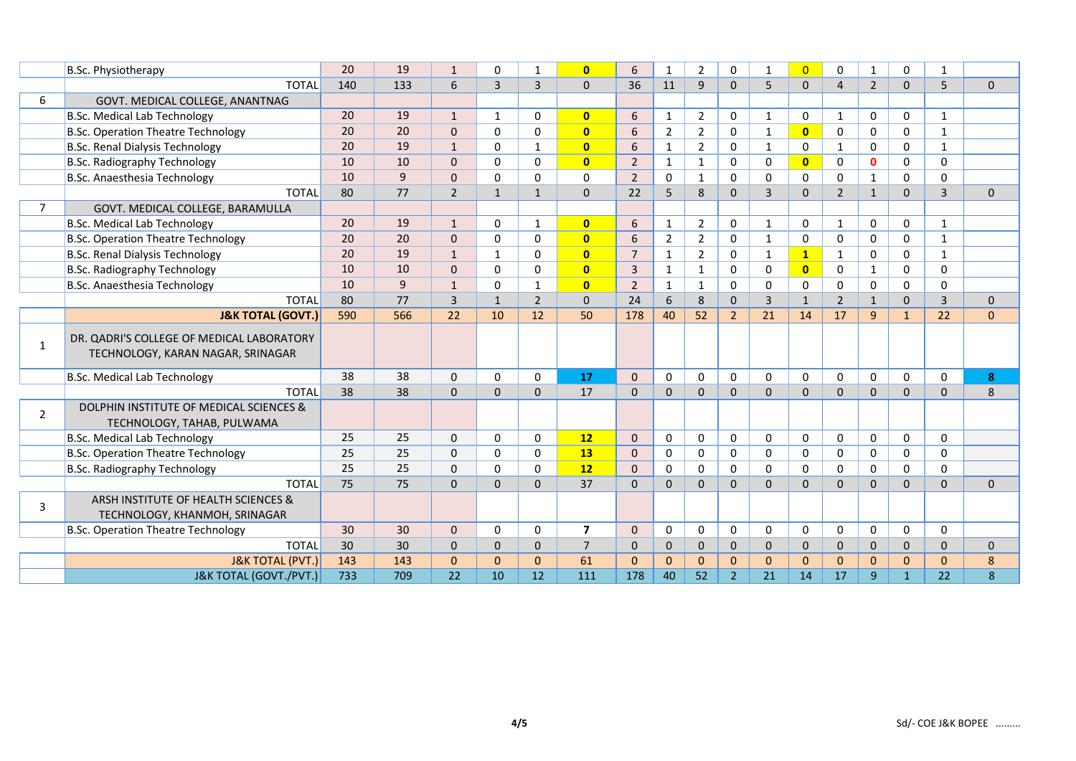|                | <b>B.Sc. Physiotherapy</b>                                                     | 20  | 19  | $\mathbf{1}$   | $\Omega$       | -1             | $\overline{0}$          | 6              | $\mathbf{1}$   | $\overline{2}$ | 0              | $\mathbf{1}$ | $\overline{0}$ | $\Omega$       | $\mathbf{1}$   | 0              | 1              |              |
|----------------|--------------------------------------------------------------------------------|-----|-----|----------------|----------------|----------------|-------------------------|----------------|----------------|----------------|----------------|--------------|----------------|----------------|----------------|----------------|----------------|--------------|
|                | <b>TOTAL</b>                                                                   | 140 | 133 | 6              | $\overline{3}$ | 3              | $\Omega$                | 36             | 11             | 9              | $\mathbf 0$    | 5            | $\Omega$       | $\overline{4}$ | $\overline{2}$ | $\mathbf{0}$   | 5              | $\mathbf 0$  |
| 6              | GOVT. MEDICAL COLLEGE, ANANTNAG                                                |     |     |                |                |                |                         |                |                |                |                |              |                |                |                |                |                |              |
|                | <b>B.Sc. Medical Lab Technology</b>                                            | 20  | 19  | $\mathbf{1}$   | $\mathbf{1}$   | $\Omega$       | $\mathbf{0}$            | 6              | $\mathbf{1}$   | $\overline{2}$ | 0              | 1            | 0              | $\mathbf{1}$   | $\mathbf 0$    | 0              | $\mathbf{1}$   |              |
|                | <b>B.Sc. Operation Theatre Technology</b>                                      | 20  | 20  | $\Omega$       | $\Omega$       | $\Omega$       | $\overline{0}$          | 6              | $\overline{2}$ | $\overline{2}$ | $\mathbf 0$    | 1            | $\mathbf{0}$   | $\mathbf{0}$   | $\Omega$       | 0              | $\mathbf{1}$   |              |
|                | <b>B.Sc. Renal Dialysis Technology</b>                                         | 20  | 19  | $\mathbf{1}$   | 0              | $\mathbf{1}$   | $\overline{\mathbf{0}}$ | 6              | $\mathbf{1}$   | $\overline{2}$ | $\mathbf 0$    | $\mathbf{1}$ | 0              | $\mathbf{1}$   | 0              | 0              | $\mathbf{1}$   |              |
|                | <b>B.Sc. Radiography Technology</b>                                            | 10  | 10  | $\Omega$       | $\Omega$       | $\Omega$       | $\overline{0}$          | $\overline{2}$ | 1              | 1              | $\Omega$       | 0            | $\mathbf{0}$   | $\mathbf{0}$   | $\mathbf{0}$   | 0              | $\Omega$       |              |
|                | B.Sc. Anaesthesia Technology                                                   | 10  | 9   | $\Omega$       | $\Omega$       | $\Omega$       | $\Omega$                | $\overline{2}$ | $\Omega$       | $\mathbf{1}$   | $\Omega$       | 0            | $\Omega$       | $\mathbf{0}$   | 1              | $\Omega$       | $\Omega$       |              |
|                | <b>TOTAL</b>                                                                   | 80  | 77  | $\overline{2}$ | $\mathbf{1}$   | $\mathbf 1$    | $\mathbf{0}$            | 22             | 5              | 8              | $\mathbf{0}$   | 3            | $\Omega$       | $\overline{2}$ | $\mathbf{1}$   | $\Omega$       | $\overline{3}$ | $\mathbf{0}$ |
| $\overline{7}$ | GOVT. MEDICAL COLLEGE, BARAMULLA                                               |     |     |                |                |                |                         |                |                |                |                |              |                |                |                |                |                |              |
|                | <b>B.Sc. Medical Lab Technology</b>                                            | 20  | 19  | $\mathbf{1}$   | $\Omega$       | 1              | $\mathbf{0}$            | 6              | 1              | $\overline{2}$ | 0              | $\mathbf{1}$ | $\Omega$       | $\mathbf{1}$   | $\mathbf 0$    | 0              | $\mathbf{1}$   |              |
|                | <b>B.Sc. Operation Theatre Technology</b>                                      | 20  | 20  | $\mathbf{0}$   | $\Omega$       | $\Omega$       | $\mathbf{0}$            | 6              | $\overline{2}$ | $\overline{2}$ | 0              | 1            | 0              | $\mathbf{0}$   | $\mathbf 0$    | 0              | $\mathbf{1}$   |              |
|                | <b>B.Sc. Renal Dialysis Technology</b>                                         | 20  | 19  | $\mathbf{1}$   | 1              | 0              | $\overline{0}$          | $\overline{7}$ | $\mathbf{1}$   | $\overline{2}$ | 0              | 1            | $\mathbf{1}$   | $\mathbf{1}$   | 0              | 0              | 1              |              |
|                | <b>B.Sc. Radiography Technology</b>                                            | 10  | 10  | $\mathbf{0}$   | $\Omega$       | 0              | $\mathbf{0}$            | 3              | $\mathbf{1}$   | $\mathbf{1}$   | $\mathbf 0$    | 0            | $\mathbf{0}$   | 0              | 1              | $\Omega$       | $\Omega$       |              |
|                | B.Sc. Anaesthesia Technology                                                   | 10  | 9   | $\mathbf{1}$   | $\Omega$       | 1              | $\mathbf{0}$            | $\overline{2}$ | $\mathbf{1}$   | $\mathbf{1}$   | $\mathbf 0$    | 0            | 0              | $\mathbf 0$    | 0              | 0              | $\Omega$       |              |
|                | <b>TOTAL</b>                                                                   | 80  | 77  | 3              | $\mathbf{1}$   | $\overline{2}$ | $\mathbf{0}$            | 24             | 6              | 8              | $\mathbf{0}$   | 3            | $\mathbf{1}$   | $\overline{2}$ | $\mathbf{1}$   | $\mathbf{0}$   | $\overline{3}$ | $\mathbf{0}$ |
|                | <b>J&amp;K TOTAL (GOVT.)</b>                                                   | 590 | 566 | 22             | 10             | 12             | 50                      | 178            | 40             | 52             | $\overline{2}$ | 21           | 14             | 17             | 9              | $\mathbf{1}$   | 22             | $\mathbf{0}$ |
| 1              | DR. QADRI'S COLLEGE OF MEDICAL LABORATORY<br>TECHNOLOGY, KARAN NAGAR, SRINAGAR |     |     |                |                |                |                         |                |                |                |                |              |                |                |                |                |                |              |
|                | <b>B.Sc. Medical Lab Technology</b>                                            | 38  | 38  | $\mathbf 0$    | $\Omega$       | $\Omega$       | 17                      | $\Omega$       | $\mathbf 0$    | $\Omega$       | $\mathbf 0$    | 0            | $\mathbf{0}$   | 0              | $\mathbf 0$    | 0              | $\Omega$       | 8            |
|                | <b>TOTAL</b>                                                                   | 38  | 38  | $\mathbf{0}$   | $\mathbf 0$    | $\mathbf 0$    | 17                      | $\mathbf{0}$   | $\mathbf{0}$   | $\mathbf 0$    | $\mathbf{0}$   | $\mathbf{0}$ | $\Omega$       | $\mathbf{0}$   | $\mathbf 0$    | $\overline{0}$ | $\mathbf{0}$   | 8            |
| $\overline{2}$ | DOLPHIN INSTITUTE OF MEDICAL SCIENCES &<br>TECHNOLOGY, TAHAB, PULWAMA          |     |     |                |                |                |                         |                |                |                |                |              |                |                |                |                |                |              |
|                | <b>B.Sc. Medical Lab Technology</b>                                            | 25  | 25  | $\mathbf 0$    | 0              | 0              | 12                      | $\mathbf{0}$   | $\mathbf 0$    | $\Omega$       | $\mathbf 0$    | 0            | 0              | 0              | $\mathbf 0$    | 0              | 0              |              |
|                | <b>B.Sc. Operation Theatre Technology</b>                                      | 25  | 25  | $\mathbf 0$    | 0              | 0              | <b>13</b>               | 0              | $\mathbf 0$    | $\mathbf 0$    | $\mathbf 0$    | 0            | 0              | $\mathbf 0$    | 0              | 0              | 0              |              |
|                | <b>B.Sc. Radiography Technology</b>                                            | 25  | 25  | $\mathbf 0$    | $\Omega$       | 0              | 12                      | $\Omega$       | $\mathbf 0$    | 0              | $\mathbf 0$    | 0            | 0              | $\mathbf 0$    | 0              | 0              | 0              |              |
|                | <b>TOTAL</b>                                                                   | 75  | 75  | $\Omega$       | $\Omega$       | $\Omega$       | 37                      | $\Omega$       | $\Omega$       | $\Omega$       | $\Omega$       | $\Omega$     | $\Omega$       | $\Omega$       | $\Omega$       | $\Omega$       | $\Omega$       | $\Omega$     |
| 3              | ARSH INSTITUTE OF HEALTH SCIENCES &<br>TECHNOLOGY, KHANMOH, SRINAGAR           |     |     |                |                |                |                         |                |                |                |                |              |                |                |                |                |                |              |
|                | <b>B.Sc. Operation Theatre Technology</b>                                      | 30  | 30  | $\Omega$       | $\Omega$       | $\Omega$       | $\overline{7}$          | $\Omega$       | $\mathbf 0$    | $\Omega$       | $\mathbf 0$    | $\Omega$     | $\mathbf{0}$   | $\Omega$       | $\mathbf 0$    | $\Omega$       | $\Omega$       |              |
|                | <b>TOTAL</b>                                                                   | 30  | 30  | $\Omega$       | $\Omega$       | $\Omega$       | $\overline{7}$          | $\Omega$       | $\Omega$       | $\Omega$       | $\Omega$       | $\Omega$     | $\Omega$       | $\Omega$       | $\Omega$       | $\Omega$       | $\Omega$       | $\mathbf{0}$ |
|                | <b>J&amp;K TOTAL (PVT.)</b>                                                    | 143 | 143 | $\mathbf{0}$   | $\Omega$       | $\Omega$       | 61                      | $\Omega$       | $\mathbf{0}$   | $\Omega$       | $\mathbf{0}$   | $\Omega$     | $\Omega$       | $\Omega$       | $\mathbf{0}$   | $\Omega$       | $\Omega$       | 8            |
|                | J&K TOTAL (GOVT./PVT.)                                                         | 733 | 709 | 22             | 10             | 12             | 111                     | 178            | 40             | 52             | $\overline{2}$ | 21           | 14             | 17             | 9              | $\mathbf{1}$   | 22             | 8            |